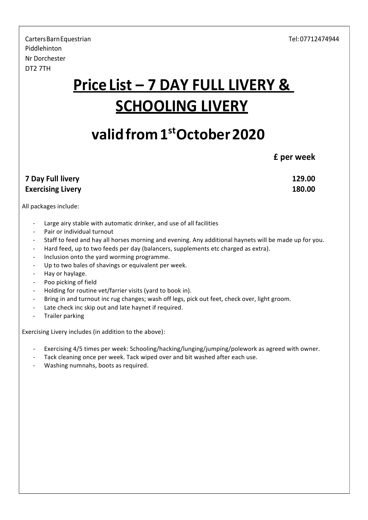CartersBarnEquestrian Tel:07712474944 Piddlehinton Nr Dorchester DT2 7TH

## **Price List – 7 DAY FULL LIVERY & SCHOOLING LIVERY**

## **validfrom1stOctober2020**

**£ per week**

| 7 Day Full livery        | 129.00 |
|--------------------------|--------|
| <b>Exercising Livery</b> | 180.00 |

All packages include:

- Large airy stable with automatic drinker, and use of all facilities
- Pair or individual turnout
- Staff to feed and hay all horses morning and evening. Any additional haynets will be made up for you.
- Hard feed, up to two feeds per day (balancers, supplements etc charged as extra).
- Inclusion onto the yard worming programme.
- Up to two bales of shavings or equivalent per week.
- Hay or haylage.
- Poo picking of field
- Holding for routine vet/farrier visits (yard to book in).
- Bring in and turnout inc rug changes; wash off legs, pick out feet, check over, light groom.
- Late check inc skip out and late haynet if required.
- Trailer parking

Exercising Livery includes (in addition to the above):

- Exercising 4/5 times per week: Schooling/hacking/lunging/jumping/polework as agreed with owner.
- Tack cleaning once per week. Tack wiped over and bit washed after each use.
- Washing numnahs, boots as required.